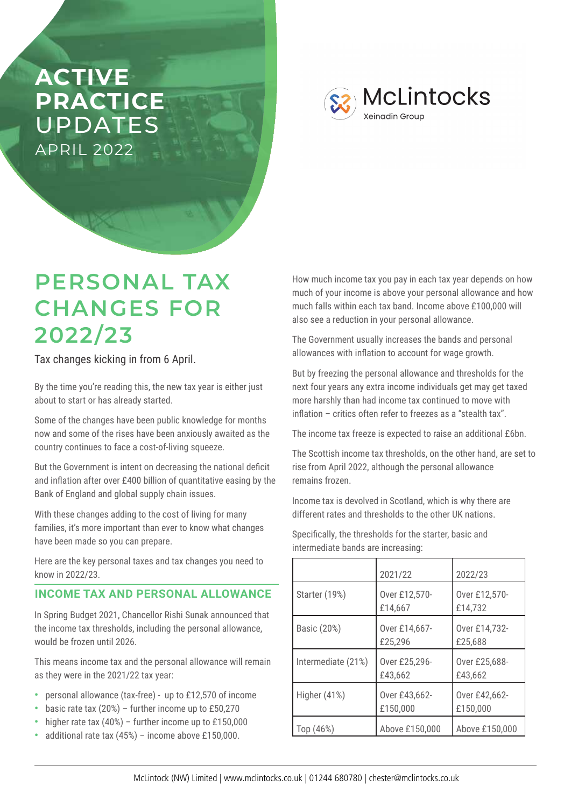## **ACTIVE PRACTICE**  UPDATES APRIL 2022

**McLintocks Xeinadin Group** 

# **PERSONAL TAX CHANGES FOR 2022/23**

Tax changes kicking in from 6 April.

By the time you're reading this, the new tax year is either just about to start or has already started.

Some of the changes have been public knowledge for months now and some of the rises have been anxiously awaited as the country continues to face a cost-of-living squeeze.

But the Government is intent on decreasing the national deficit and inflation after over £400 billion of quantitative easing by the Bank of England and global supply chain issues.

With these changes adding to the cost of living for many families, it's more important than ever to know what changes have been made so you can prepare.

Here are the key personal taxes and tax changes you need to know in 2022/23.

#### **INCOME TAX AND PERSONAL ALLOWANCE**

In Spring Budget 2021, Chancellor Rishi Sunak announced that the income tax thresholds, including the personal allowance, would be frozen until 2026.

This means income tax and the personal allowance will remain as they were in the 2021/22 tax year:

- **•** personal allowance (tax-free) up to £12,570 of income
- **•** basic rate tax (20%) further income up to £50,270
- **•** higher rate tax (40%) further income up to £150,000
- **•** additional rate tax (45%) income above £150,000.

How much income tax you pay in each tax year depends on how much of your income is above your personal allowance and how much falls within each tax band. Income above £100,000 will also see a reduction in your personal allowance.

The Government usually increases the bands and personal allowances with inflation to account for wage growth.

But by freezing the personal allowance and thresholds for the next four years any extra income individuals get may get taxed more harshly than had income tax continued to move with inflation – critics often refer to freezes as a "stealth tax".

The income tax freeze is expected to raise an additional £6bn.

The Scottish income tax thresholds, on the other hand, are set to rise from April 2022, although the personal allowance remains frozen.

Income tax is devolved in Scotland, which is why there are different rates and thresholds to the other UK nations.

Specifically, the thresholds for the starter, basic and intermediate bands are increasing:

|                    | 2021/22                   | 2022/23                   |
|--------------------|---------------------------|---------------------------|
| Starter (19%)      | Over £12,570-<br>£14,667  | Over £12,570-<br>£14,732  |
| Basic (20%)        | Over £14,667-<br>£25,296  | Over £14,732-<br>£25,688  |
| Intermediate (21%) | Over £25,296-<br>£43,662  | Over £25,688-<br>£43,662  |
| Higher $(41%)$     | Over £43,662-<br>£150,000 | Over £42,662-<br>£150,000 |
| Top (46%)          | Above £150,000            | Above £150,000            |